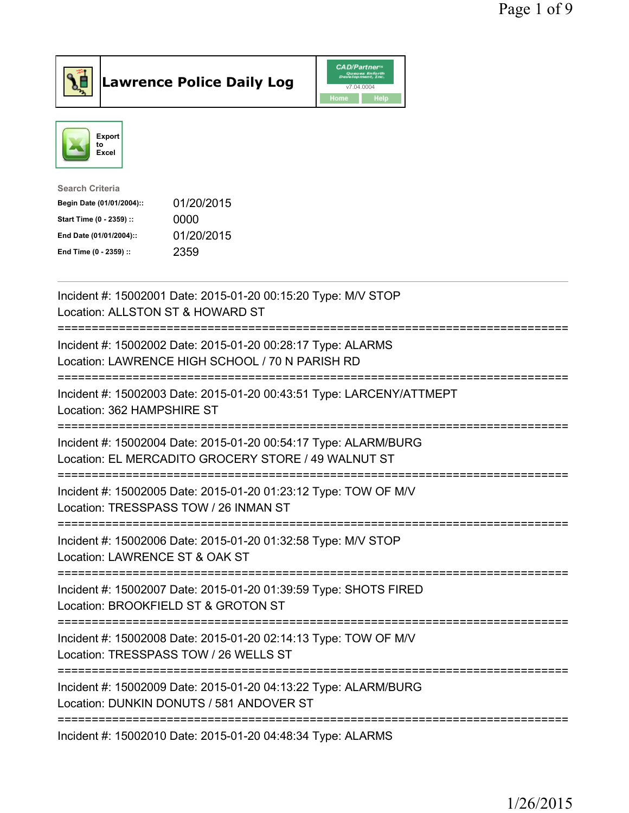

**Lawrence Police Daily Log** CAD/Partner



| <b>Search Criteria</b>    |            |
|---------------------------|------------|
| Begin Date (01/01/2004):: | 01/20/2015 |
| Start Time (0 - 2359) ::  | 0000       |
| End Date (01/01/2004)::   | 01/20/2015 |
| End Time (0 - 2359) ::    | 2359       |
|                           |            |

| Incident #: 15002001 Date: 2015-01-20 00:15:20 Type: M/V STOP<br>Location: ALLSTON ST & HOWARD ST                                                             |
|---------------------------------------------------------------------------------------------------------------------------------------------------------------|
| Incident #: 15002002 Date: 2015-01-20 00:28:17 Type: ALARMS<br>Location: LAWRENCE HIGH SCHOOL / 70 N PARISH RD                                                |
| Incident #: 15002003 Date: 2015-01-20 00:43:51 Type: LARCENY/ATTMEPT<br>Location: 362 HAMPSHIRE ST                                                            |
| Incident #: 15002004 Date: 2015-01-20 00:54:17 Type: ALARM/BURG<br>Location: EL MERCADITO GROCERY STORE / 49 WALNUT ST<br>=================================== |
| Incident #: 15002005 Date: 2015-01-20 01:23:12 Type: TOW OF M/V<br>Location: TRESSPASS TOW / 26 INMAN ST<br>:===============================                  |
| Incident #: 15002006 Date: 2015-01-20 01:32:58 Type: M/V STOP<br>Location: LAWRENCE ST & OAK ST                                                               |
| ==========================<br>Incident #: 15002007 Date: 2015-01-20 01:39:59 Type: SHOTS FIRED<br>Location: BROOKFIELD ST & GROTON ST                         |
| ==============================<br>Incident #: 15002008 Date: 2015-01-20 02:14:13 Type: TOW OF M/V<br>Location: TRESSPASS TOW / 26 WELLS ST                    |
| ==============================<br>Incident #: 15002009 Date: 2015-01-20 04:13:22 Type: ALARM/BURG<br>Location: DUNKIN DONUTS / 581 ANDOVER ST                 |
| Incident #: 15002010 Date: 2015-01-20 04:48:34 Type: ALARMS                                                                                                   |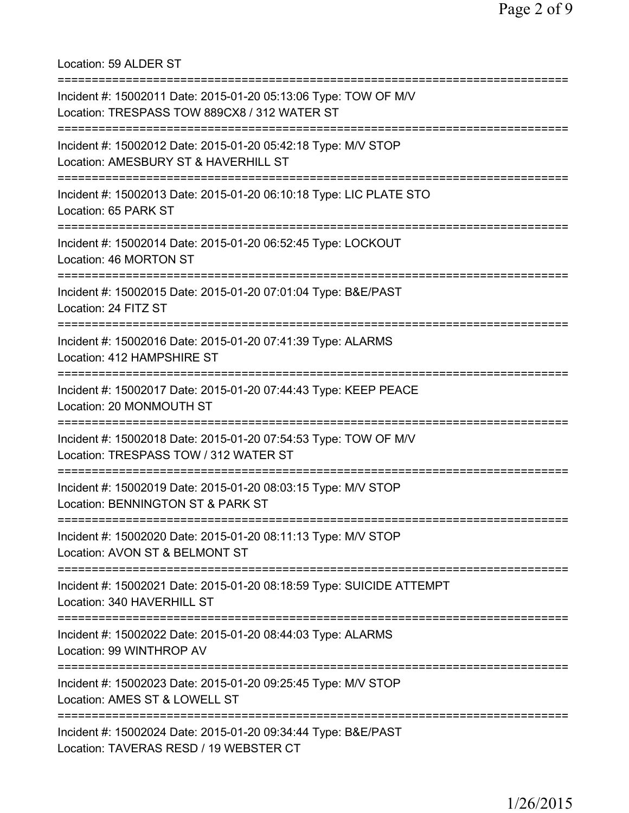Location: 59 ALDER ST =========================================================================== Incident #: 15002011 Date: 2015-01-20 05:13:06 Type: TOW OF M/V Location: TRESPASS TOW 889CX8 / 312 WATER ST =========================================================================== Incident #: 15002012 Date: 2015-01-20 05:42:18 Type: M/V STOP Location: AMESBURY ST & HAVERHILL ST =========================================================================== Incident #: 15002013 Date: 2015-01-20 06:10:18 Type: LIC PLATE STO Location: 65 PARK ST =========================================================================== Incident #: 15002014 Date: 2015-01-20 06:52:45 Type: LOCKOUT Location: 46 MORTON ST =========================================================================== Incident #: 15002015 Date: 2015-01-20 07:01:04 Type: B&E/PAST Location: 24 FITZ ST =========================================================================== Incident #: 15002016 Date: 2015-01-20 07:41:39 Type: ALARMS Location: 412 HAMPSHIRE ST =========================================================================== Incident #: 15002017 Date: 2015-01-20 07:44:43 Type: KEEP PEACE Location: 20 MONMOUTH ST =========================================================================== Incident #: 15002018 Date: 2015-01-20 07:54:53 Type: TOW OF M/V Location: TRESPASS TOW / 312 WATER ST =========================================================================== Incident #: 15002019 Date: 2015-01-20 08:03:15 Type: M/V STOP Location: BENNINGTON ST & PARK ST =========================================================================== Incident #: 15002020 Date: 2015-01-20 08:11:13 Type: M/V STOP Location: AVON ST & BELMONT ST =========================================================================== Incident #: 15002021 Date: 2015-01-20 08:18:59 Type: SUICIDE ATTEMPT Location: 340 HAVERHILL ST =========================================================================== Incident #: 15002022 Date: 2015-01-20 08:44:03 Type: ALARMS Location: 99 WINTHROP AV =========================================================================== Incident #: 15002023 Date: 2015-01-20 09:25:45 Type: M/V STOP Location: AMES ST & LOWELL ST =========================================================================== Incident #: 15002024 Date: 2015-01-20 09:34:44 Type: B&E/PAST Location: TAVERAS RESD / 19 WEBSTER CT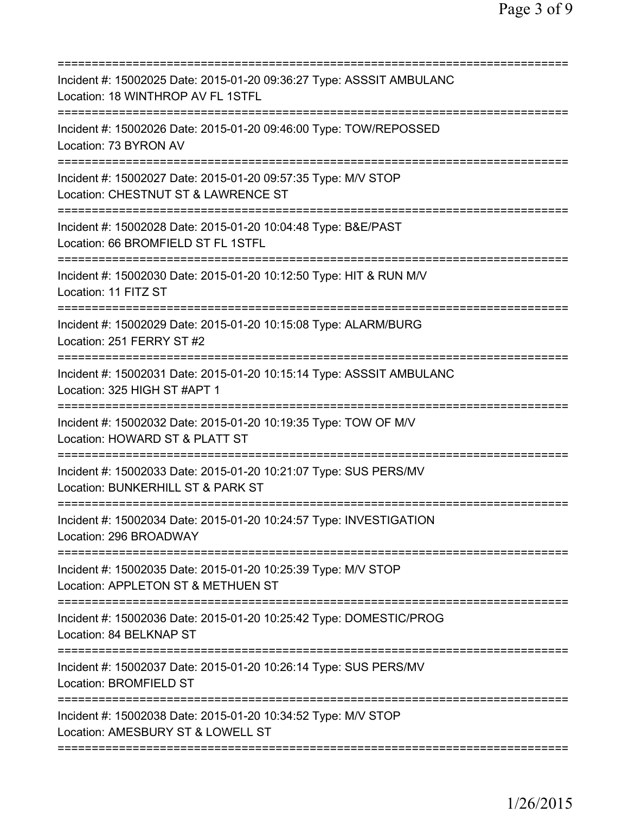| Incident #: 15002025 Date: 2015-01-20 09:36:27 Type: ASSSIT AMBULANC<br>Location: 18 WINTHROP AV FL 1STFL<br>============================ |
|-------------------------------------------------------------------------------------------------------------------------------------------|
| Incident #: 15002026 Date: 2015-01-20 09:46:00 Type: TOW/REPOSSED<br>Location: 73 BYRON AV                                                |
| Incident #: 15002027 Date: 2015-01-20 09:57:35 Type: M/V STOP<br>Location: CHESTNUT ST & LAWRENCE ST                                      |
| Incident #: 15002028 Date: 2015-01-20 10:04:48 Type: B&E/PAST<br>Location: 66 BROMFIELD ST FL 1STFL                                       |
| Incident #: 15002030 Date: 2015-01-20 10:12:50 Type: HIT & RUN M/V<br>Location: 11 FITZ ST                                                |
| ===========<br>Incident #: 15002029 Date: 2015-01-20 10:15:08 Type: ALARM/BURG<br>Location: 251 FERRY ST #2                               |
| Incident #: 15002031 Date: 2015-01-20 10:15:14 Type: ASSSIT AMBULANC<br>Location: 325 HIGH ST #APT 1                                      |
| Incident #: 15002032 Date: 2015-01-20 10:19:35 Type: TOW OF M/V<br>Location: HOWARD ST & PLATT ST                                         |
| Incident #: 15002033 Date: 2015-01-20 10:21:07 Type: SUS PERS/MV<br>Location: BUNKERHILL ST & PARK ST                                     |
| Incident #: 15002034 Date: 2015-01-20 10:24:57 Type: INVESTIGATION<br>Location: 296 BROADWAY                                              |
| Incident #: 15002035 Date: 2015-01-20 10:25:39 Type: M/V STOP<br>Location: APPLETON ST & METHUEN ST                                       |
| Incident #: 15002036 Date: 2015-01-20 10:25:42 Type: DOMESTIC/PROG<br>Location: 84 BELKNAP ST                                             |
| Incident #: 15002037 Date: 2015-01-20 10:26:14 Type: SUS PERS/MV<br>Location: BROMFIELD ST                                                |
| Incident #: 15002038 Date: 2015-01-20 10:34:52 Type: M/V STOP<br>Location: AMESBURY ST & LOWELL ST                                        |
|                                                                                                                                           |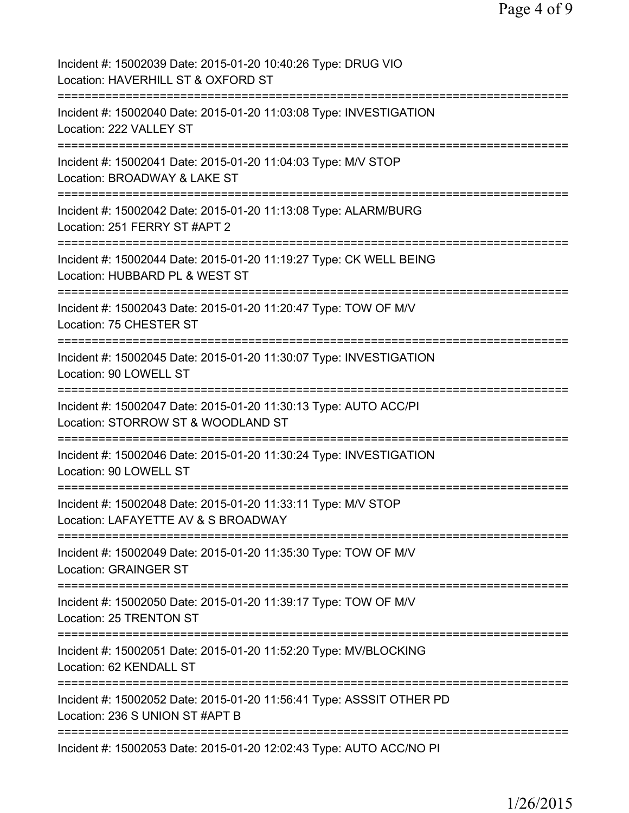| Incident #: 15002039 Date: 2015-01-20 10:40:26 Type: DRUG VIO<br>Location: HAVERHILL ST & OXFORD ST                     |
|-------------------------------------------------------------------------------------------------------------------------|
| Incident #: 15002040 Date: 2015-01-20 11:03:08 Type: INVESTIGATION<br>Location: 222 VALLEY ST                           |
| Incident #: 15002041 Date: 2015-01-20 11:04:03 Type: M/V STOP<br>Location: BROADWAY & LAKE ST                           |
| Incident #: 15002042 Date: 2015-01-20 11:13:08 Type: ALARM/BURG<br>Location: 251 FERRY ST #APT 2                        |
| Incident #: 15002044 Date: 2015-01-20 11:19:27 Type: CK WELL BEING<br>Location: HUBBARD PL & WEST ST                    |
| Incident #: 15002043 Date: 2015-01-20 11:20:47 Type: TOW OF M/V<br>Location: 75 CHESTER ST                              |
| Incident #: 15002045 Date: 2015-01-20 11:30:07 Type: INVESTIGATION<br>Location: 90 LOWELL ST<br>=================       |
| Incident #: 15002047 Date: 2015-01-20 11:30:13 Type: AUTO ACC/PI<br>Location: STORROW ST & WOODLAND ST                  |
| Incident #: 15002046 Date: 2015-01-20 11:30:24 Type: INVESTIGATION<br>Location: 90 LOWELL ST                            |
| Incident #: 15002048 Date: 2015-01-20 11:33:11 Type: M/V STOP<br>Location: LAFAYETTE AV & S BROADWAY                    |
| Incident #: 15002049 Date: 2015-01-20 11:35:30 Type: TOW OF M/V<br><b>Location: GRAINGER ST</b>                         |
| =========================<br>Incident #: 15002050 Date: 2015-01-20 11:39:17 Type: TOW OF M/V<br>Location: 25 TRENTON ST |
| Incident #: 15002051 Date: 2015-01-20 11:52:20 Type: MV/BLOCKING<br>Location: 62 KENDALL ST                             |
| Incident #: 15002052 Date: 2015-01-20 11:56:41 Type: ASSSIT OTHER PD<br>Location: 236 S UNION ST #APT B                 |
| Incident #: 15002053 Date: 2015-01-20 12:02:43 Type: AUTO ACC/NO PI                                                     |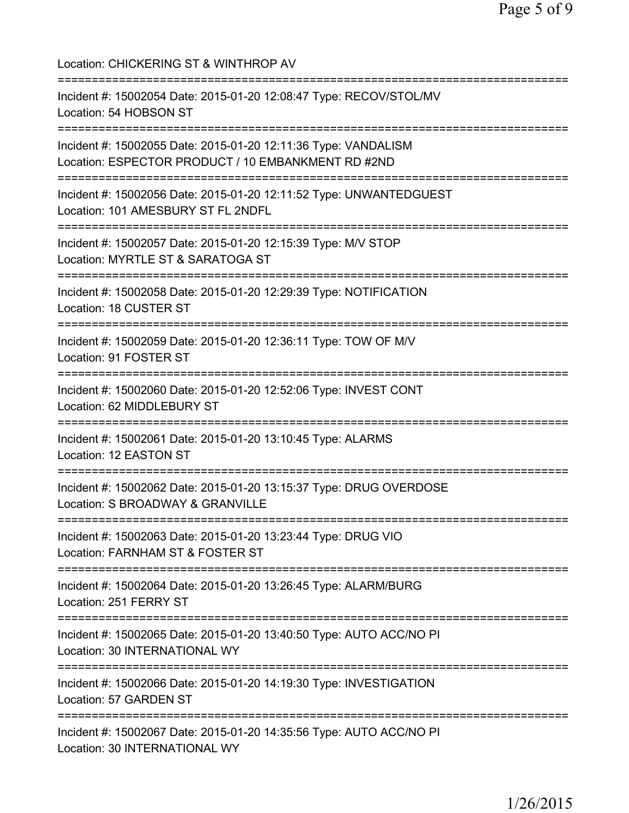Location: CHICKERING ST & WINTHROP AV =========================================================================== Incident #: 15002054 Date: 2015-01-20 12:08:47 Type: RECOV/STOL/MV Location: 54 HOBSON ST =========================================================================== Incident #: 15002055 Date: 2015-01-20 12:11:36 Type: VANDALISM Location: ESPECTOR PRODUCT / 10 EMBANKMENT RD #2ND =========================================================================== Incident #: 15002056 Date: 2015-01-20 12:11:52 Type: UNWANTEDGUEST Location: 101 AMESBURY ST FL 2NDFL =========================================================================== Incident #: 15002057 Date: 2015-01-20 12:15:39 Type: M/V STOP Location: MYRTLE ST & SARATOGA ST =========================================================================== Incident #: 15002058 Date: 2015-01-20 12:29:39 Type: NOTIFICATION Location: 18 CUSTER ST =========================================================================== Incident #: 15002059 Date: 2015-01-20 12:36:11 Type: TOW OF M/V Location: 91 FOSTER ST =========================================================================== Incident #: 15002060 Date: 2015-01-20 12:52:06 Type: INVEST CONT Location: 62 MIDDLEBURY ST =========================================================================== Incident #: 15002061 Date: 2015-01-20 13:10:45 Type: ALARMS Location: 12 EASTON ST =========================================================================== Incident #: 15002062 Date: 2015-01-20 13:15:37 Type: DRUG OVERDOSE Location: S BROADWAY & GRANVILLE =========================================================================== Incident #: 15002063 Date: 2015-01-20 13:23:44 Type: DRUG VIO Location: FARNHAM ST & FOSTER ST =========================================================================== Incident #: 15002064 Date: 2015-01-20 13:26:45 Type: ALARM/BURG Location: 251 FERRY ST =========================================================================== Incident #: 15002065 Date: 2015-01-20 13:40:50 Type: AUTO ACC/NO PI Location: 30 INTERNATIONAL WY =========================================================================== Incident #: 15002066 Date: 2015-01-20 14:19:30 Type: INVESTIGATION Location: 57 GARDEN ST =========================================================================== Incident #: 15002067 Date: 2015-01-20 14:35:56 Type: AUTO ACC/NO PI Location: 30 INTERNATIONAL WY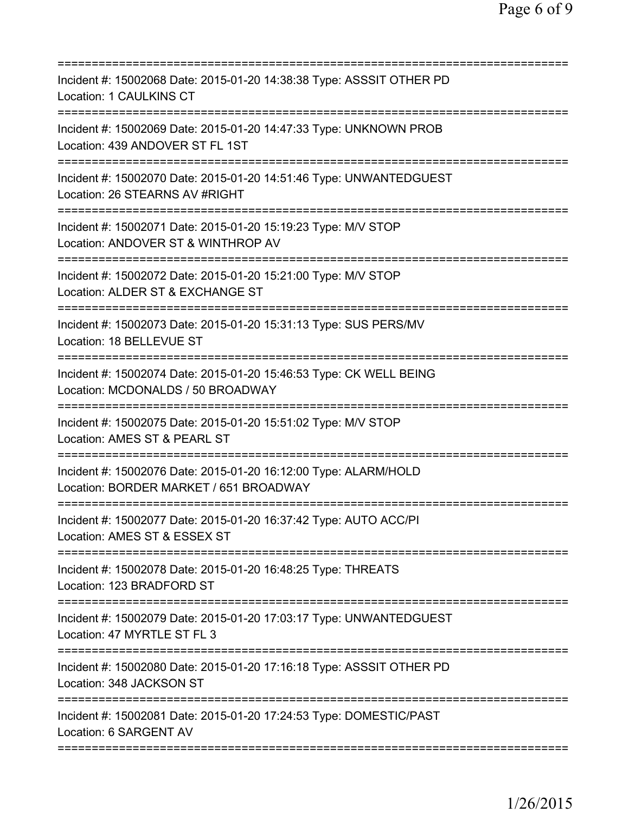| Incident #: 15002068 Date: 2015-01-20 14:38:38 Type: ASSSIT OTHER PD<br>Location: 1 CAULKINS CT                                        |
|----------------------------------------------------------------------------------------------------------------------------------------|
| Incident #: 15002069 Date: 2015-01-20 14:47:33 Type: UNKNOWN PROB<br>Location: 439 ANDOVER ST FL 1ST<br>======================         |
| Incident #: 15002070 Date: 2015-01-20 14:51:46 Type: UNWANTEDGUEST<br>Location: 26 STEARNS AV #RIGHT                                   |
| Incident #: 15002071 Date: 2015-01-20 15:19:23 Type: M/V STOP<br>Location: ANDOVER ST & WINTHROP AV<br>=============================== |
| Incident #: 15002072 Date: 2015-01-20 15:21:00 Type: M/V STOP<br>Location: ALDER ST & EXCHANGE ST<br>===================               |
| Incident #: 15002073 Date: 2015-01-20 15:31:13 Type: SUS PERS/MV<br>Location: 18 BELLEVUE ST                                           |
| Incident #: 15002074 Date: 2015-01-20 15:46:53 Type: CK WELL BEING<br>Location: MCDONALDS / 50 BROADWAY                                |
| Incident #: 15002075 Date: 2015-01-20 15:51:02 Type: M/V STOP<br>Location: AMES ST & PEARL ST                                          |
| Incident #: 15002076 Date: 2015-01-20 16:12:00 Type: ALARM/HOLD<br>Location: BORDER MARKET / 651 BROADWAY                              |
| Incident #: 15002077 Date: 2015-01-20 16:37:42 Type: AUTO ACC/PI<br>Location: AMES ST & ESSEX ST                                       |
| Incident #: 15002078 Date: 2015-01-20 16:48:25 Type: THREATS<br>Location: 123 BRADFORD ST                                              |
| Incident #: 15002079 Date: 2015-01-20 17:03:17 Type: UNWANTEDGUEST<br>Location: 47 MYRTLE ST FL 3                                      |
| Incident #: 15002080 Date: 2015-01-20 17:16:18 Type: ASSSIT OTHER PD<br>Location: 348 JACKSON ST                                       |
| Incident #: 15002081 Date: 2015-01-20 17:24:53 Type: DOMESTIC/PAST<br>Location: 6 SARGENT AV                                           |
|                                                                                                                                        |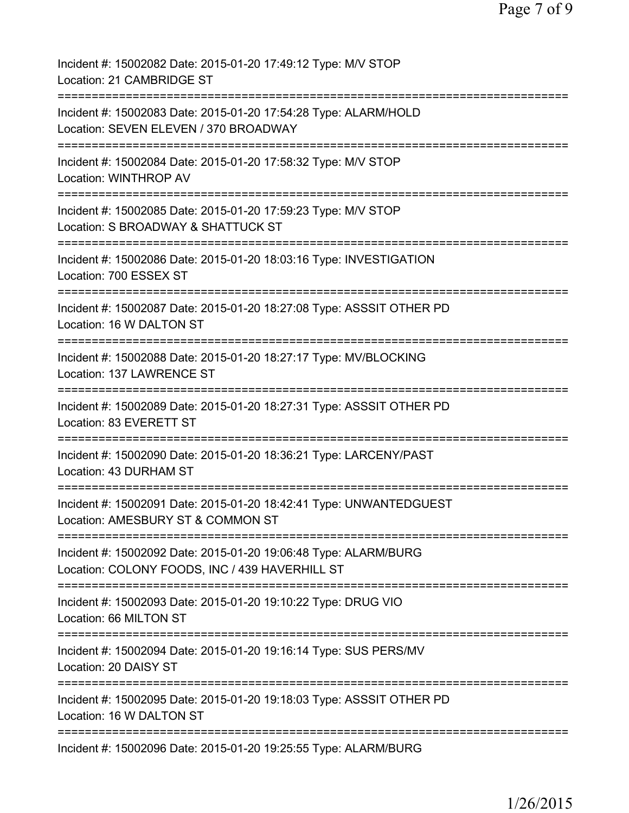| Incident #: 15002082 Date: 2015-01-20 17:49:12 Type: M/V STOP<br>Location: 21 CAMBRIDGE ST                             |
|------------------------------------------------------------------------------------------------------------------------|
| Incident #: 15002083 Date: 2015-01-20 17:54:28 Type: ALARM/HOLD<br>Location: SEVEN ELEVEN / 370 BROADWAY               |
| Incident #: 15002084 Date: 2015-01-20 17:58:32 Type: M/V STOP<br>Location: WINTHROP AV                                 |
| Incident #: 15002085 Date: 2015-01-20 17:59:23 Type: M/V STOP<br>Location: S BROADWAY & SHATTUCK ST                    |
| Incident #: 15002086 Date: 2015-01-20 18:03:16 Type: INVESTIGATION<br>Location: 700 ESSEX ST                           |
| Incident #: 15002087 Date: 2015-01-20 18:27:08 Type: ASSSIT OTHER PD<br>Location: 16 W DALTON ST                       |
| Incident #: 15002088 Date: 2015-01-20 18:27:17 Type: MV/BLOCKING<br>Location: 137 LAWRENCE ST                          |
| Incident #: 15002089 Date: 2015-01-20 18:27:31 Type: ASSSIT OTHER PD<br>Location: 83 EVERETT ST                        |
| Incident #: 15002090 Date: 2015-01-20 18:36:21 Type: LARCENY/PAST<br>Location: 43 DURHAM ST                            |
| Incident #: 15002091 Date: 2015-01-20 18:42:41 Type: UNWANTEDGUEST<br>Location: AMESBURY ST & COMMON ST                |
| Incident #: 15002092 Date: 2015-01-20 19:06:48 Type: ALARM/BURG<br>Location: COLONY FOODS, INC / 439 HAVERHILL ST      |
| :==========================<br>Incident #: 15002093 Date: 2015-01-20 19:10:22 Type: DRUG VIO<br>Location: 66 MILTON ST |
| Incident #: 15002094 Date: 2015-01-20 19:16:14 Type: SUS PERS/MV<br>Location: 20 DAISY ST                              |
| Incident #: 15002095 Date: 2015-01-20 19:18:03 Type: ASSSIT OTHER PD<br>Location: 16 W DALTON ST                       |
| Incident #: 15002096 Date: 2015-01-20 19:25:55 Type: ALARM/BURG                                                        |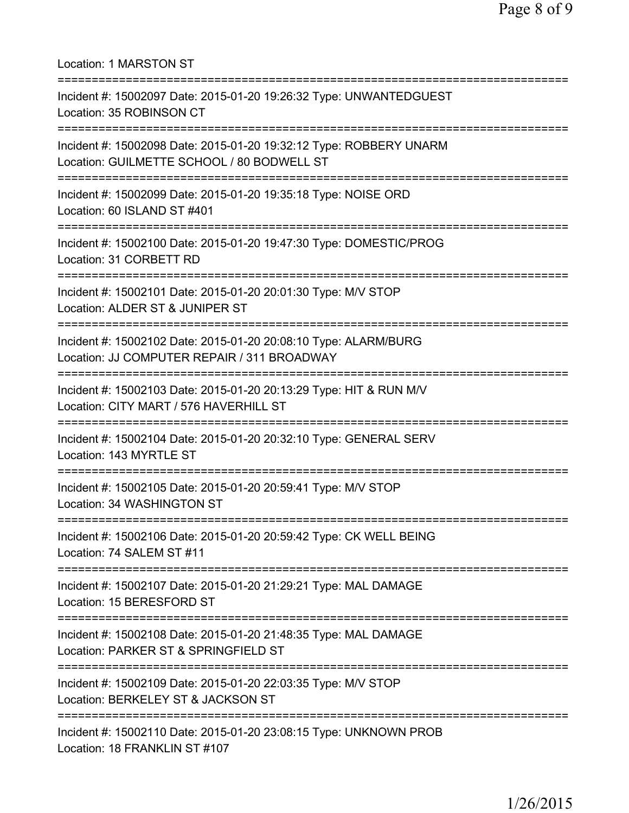| <b>Location: 1 MARSTON ST</b>                                                                                                         |
|---------------------------------------------------------------------------------------------------------------------------------------|
| Incident #: 15002097 Date: 2015-01-20 19:26:32 Type: UNWANTEDGUEST<br>Location: 35 ROBINSON CT                                        |
| Incident #: 15002098 Date: 2015-01-20 19:32:12 Type: ROBBERY UNARM<br>Location: GUILMETTE SCHOOL / 80 BODWELL ST                      |
| Incident #: 15002099 Date: 2015-01-20 19:35:18 Type: NOISE ORD<br>Location: 60 ISLAND ST #401                                         |
| ====================================<br>Incident #: 15002100 Date: 2015-01-20 19:47:30 Type: DOMESTIC/PROG<br>Location: 31 CORBETT RD |
| :=============================<br>Incident #: 15002101 Date: 2015-01-20 20:01:30 Type: M/V STOP<br>Location: ALDER ST & JUNIPER ST    |
| Incident #: 15002102 Date: 2015-01-20 20:08:10 Type: ALARM/BURG<br>Location: JJ COMPUTER REPAIR / 311 BROADWAY                        |
| Incident #: 15002103 Date: 2015-01-20 20:13:29 Type: HIT & RUN M/V<br>Location: CITY MART / 576 HAVERHILL ST                          |
| Incident #: 15002104 Date: 2015-01-20 20:32:10 Type: GENERAL SERV<br>Location: 143 MYRTLE ST                                          |
| Incident #: 15002105 Date: 2015-01-20 20:59:41 Type: M/V STOP<br>Location: 34 WASHINGTON ST                                           |
| Incident #: 15002106 Date: 2015-01-20 20:59:42 Type: CK WELL BEING<br>Location: 74 SALEM ST #11                                       |
| Incident #: 15002107 Date: 2015-01-20 21:29:21 Type: MAL DAMAGE<br>Location: 15 BERESFORD ST                                          |
| Incident #: 15002108 Date: 2015-01-20 21:48:35 Type: MAL DAMAGE<br>Location: PARKER ST & SPRINGFIELD ST                               |
| Incident #: 15002109 Date: 2015-01-20 22:03:35 Type: M/V STOP<br>Location: BERKELEY ST & JACKSON ST                                   |
| Incident #: 15002110 Date: 2015-01-20 23:08:15 Type: UNKNOWN PROB<br>Location: 18 FRANKLIN ST #107                                    |